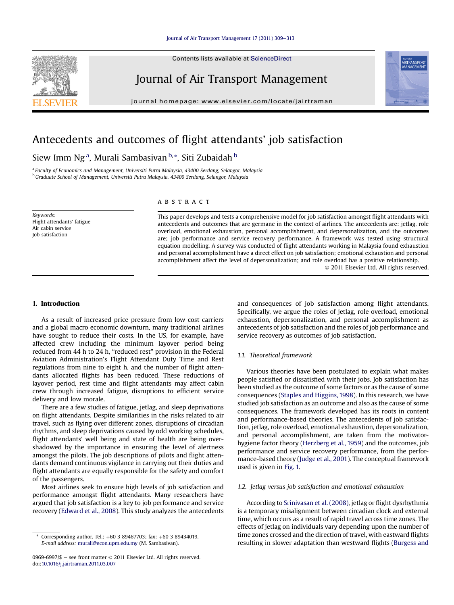#### [Journal of Air Transport Management 17 \(2011\) 309](http://dx.doi.org/10.1016/j.jairtraman.2011.03.007)-[313](http://dx.doi.org/10.1016/j.jairtraman.2011.03.007)

Contents lists available at ScienceDirect

## Journal of Air Transport Management

journal homepage: [www.elsevier.com/locate/jairtraman](http://www.elsevier.com/locate/jairtraman)



# Antecedents and outcomes of flight attendants' job satisfaction

### Siew Imm Ng<sup>a</sup>, Murali Sambasivan <sup>b,</sup>\*, Siti Zubaidah <sup>b</sup>

<sup>a</sup> Faculty of Economics and Management, Universiti Putra Malaysia, 43400 Serdang, Selangor, Malaysia <sup>b</sup> Graduate School of Management, Universiti Putra Malaysia, 43400 Serdang, Selangor, Malaysia

Keywords: Flight attendants' fatigue Air cabin service Job satisfaction

#### ABSTRACT

This paper develops and tests a comprehensive model for job satisfaction amongst flight attendants with antecedents and outcomes that are germane in the context of airlines. The antecedents are: jetlag, role overload, emotional exhaustion, personal accomplishment, and depersonalization, and the outcomes are; job performance and service recovery performance. A framework was tested using structural equation modelling. A survey was conducted of flight attendants working in Malaysia found exhaustion and personal accomplishment have a direct effect on job satisfaction; emotional exhaustion and personal accomplishment affect the level of depersonalization; and role overload has a positive relationship.

2011 Elsevier Ltd. All rights reserved.

#### 1. Introduction

As a result of increased price pressure from low cost carriers and a global macro economic downturn, many traditional airlines have sought to reduce their costs. In the US, for example, have affected crew including the minimum layover period being reduced from 44 h to 24 h, "reduced rest" provision in the Federal Aviation Administration's Flight Attendant Duty Time and Rest regulations from nine to eight h, and the number of flight attendants allocated flights has been reduced. These reductions of layover period, rest time and flight attendants may affect cabin crew through increased fatigue, disruptions to efficient service delivery and low morale.

There are a few studies of fatigue, jetlag, and sleep deprivations on flight attendants. Despite similarities in the risks related to air travel, such as flying over different zones, disruptions of circadian rhythms, and sleep deprivations caused by odd working schedules, flight attendants' well being and state of health are being overshadowed by the importance in ensuring the level of alertness amongst the pilots. The job descriptions of pilots and flight attendants demand continuous vigilance in carrying out their duties and flight attendants are equally responsible for the safety and comfort of the passengers.

Most airlines seek to ensure high levels of job satisfaction and performance amongst flight attendants. Many researchers have argued that job satisfaction is a key to job performance and service recovery [\(Edward et al., 2008](#page--1-0)). This study analyzes the antecedents and consequences of job satisfaction among flight attendants. Specifically, we argue the roles of jetlag, role overload, emotional exhaustion, depersonalization, and personal accomplishment as antecedents of job satisfaction and the roles of job performance and service recovery as outcomes of job satisfaction.

#### 1.1. Theoretical framework

Various theories have been postulated to explain what makes people satisfied or dissatisfied with their jobs. Job satisfaction has been studied as the outcome of some factors or as the cause of some consequences ([Staples and Higgins, 1998\)](#page--1-0). In this research, we have studied job satisfaction as an outcome and also as the cause of some consequences. The framework developed has its roots in content and performance-based theories. The antecedents of job satisfaction, jetlag, role overload, emotional exhaustion, depersonalization, and personal accomplishment, are taken from the motivatorhygiene factor theory [\(Herzberg et al., 1959](#page--1-0)) and the outcomes, job performance and service recovery performance, from the performance-based theory [\(Judge et al., 2001](#page--1-0)). The conceptual framework used is given in [Fig. 1.](#page-1-0)

#### 1.2. Jetlag versus job satisfaction and emotional exhaustion

According to [Srinivasan et al. \(2008\)](#page--1-0), jetlag or flight dysrhythmia is a temporary misalignment between circadian clock and external time, which occurs as a result of rapid travel across time zones. The effects of jetlag on individuals vary depending upon the number of time zones crossed and the direction of travel, with eastward flights resulting in slower adaptation than westward flights ([Burgess and](#page--1-0)

Corresponding author. Tel.:  $+60$  3 89467703; fax:  $+60$  3 89434019. E-mail address: [murali@econ.upm.edu.my](mailto:murali@econ.upm.edu.my) (M. Sambasivan).

<sup>0969-6997/\$ -</sup> see front matter  $\odot$  2011 Elsevier Ltd. All rights reserved. doi[:10.1016/j.jairtraman.2011.03.007](http://dx.doi.org/10.1016/j.jairtraman.2011.03.007)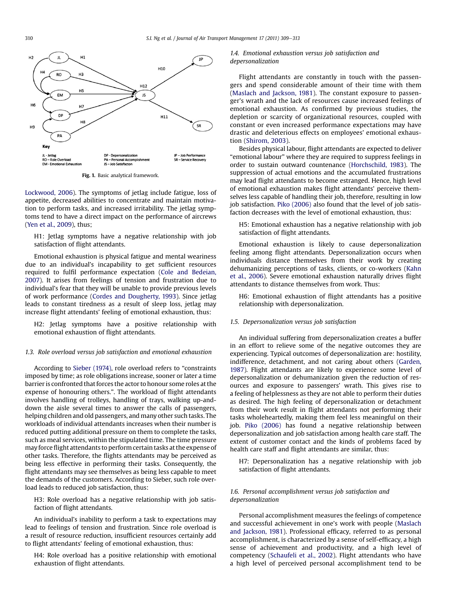<span id="page-1-0"></span>

Fig. 1. Basic analytical framework.

[Lockwood, 2006](#page--1-0)). The symptoms of jetlag include fatigue, loss of appetite, decreased abilities to concentrate and maintain motivation to perform tasks, and increased irritability. The jetlag symptoms tend to have a direct impact on the performance of aircrews ([Yen et al., 2009](#page--1-0)), thus;

H1: Jetlag symptoms have a negative relationship with job satisfaction of flight attendants.

Emotional exhaustion is physical fatigue and mental weariness due to an individual's incapability to get sufficient resources required to fulfil performance expectation [\(Cole and Bedeian,](#page--1-0) [2007\)](#page--1-0). It arises from feelings of tension and frustration due to individual's fear that they will be unable to provide previous levels of work performance [\(Cordes and Dougherty, 1993](#page--1-0)). Since jetlag leads to constant tiredness as a result of sleep loss, jetlag may increase flight attendants' feeling of emotional exhaustion, thus:

H2: Jetlag symptoms have a positive relationship with emotional exhaustion of flight attendants.

#### 1.3. Role overload versus job satisfaction and emotional exhaustion

According to [Sieber \(1974\),](#page--1-0) role overload refers to "constraints imposed by time; as role obligations increase, sooner or later a time barrier is confronted that forces the actor to honour some roles at the expense of honouring others.". The workload of flight attendants involves handling of trolleys, handling of trays, walking up-anddown the aisle several times to answer the calls of passengers, helping children and old passengers, and many other such tasks. The workloads of individual attendants increases when their number is reduced putting additional pressure on them to complete the tasks, such as meal services, within the stipulated time. The time pressure may force flight attendants to perform certain tasks at the expense of other tasks. Therefore, the flights attendants may be perceived as being less effective in performing their tasks. Consequently, the flight attendants may see themselves as being less capable to meet the demands of the customers. According to Sieber, such role overload leads to reduced job satisfaction, thus:

H3: Role overload has a negative relationship with job satisfaction of flight attendants.

An individual's inability to perform a task to expectations may lead to feelings of tension and frustration. Since role overload is a result of resource reduction, insufficient resources certainly add to flight attendants' feeling of emotional exhaustion, thus:

H4: Role overload has a positive relationship with emotional exhaustion of flight attendants.

#### 1.4. Emotional exhaustion versus job satisfaction and depersonalization

Flight attendants are constantly in touch with the passengers and spend considerable amount of their time with them ([Maslach and Jackson, 1981\)](#page--1-0). The constant exposure to passenger's wrath and the lack of resources cause increased feelings of emotional exhaustion. As confirmed by previous studies, the depletion or scarcity of organizational resources, coupled with constant or even increased performance expectations may have drastic and deleterious effects on employees' emotional exhaustion [\(Shirom, 2003](#page--1-0)).

Besides physical labour, flight attendants are expected to deliver "emotional labour" where they are required to suppress feelings in order to sustain outward countenance ([Horchschild, 1983\)](#page--1-0). The suppression of actual emotions and the accumulated frustrations may lead flight attendants to become estranged. Hence, high level of emotional exhaustion makes flight attendants' perceive themselves less capable of handling their job, therefore, resulting in low job satisfaction. [Piko \(2006\)](#page--1-0) also found that the level of job satisfaction decreases with the level of emotional exhaustion, thus:

H5: Emotional exhaustion has a negative relationship with job satisfaction of flight attendants.

Emotional exhaustion is likely to cause depersonalization feeling among flight attendants. Depersonalization occurs when individuals distance themselves from their work by creating dehumanizing perceptions of tasks, clients, or co-workers [\(Kahn](#page--1-0) [et al., 2006\)](#page--1-0). Severe emotional exhaustion naturally drives flight attendants to distance themselves from work. Thus:

H6: Emotional exhaustion of flight attendants has a positive relationship with depersonalization.

#### 1.5. Depersonalization versus job satisfaction

An individual suffering from depersonalization creates a buffer in an effort to relieve some of the negative outcomes they are experiencing. Typical outcomes of depersonalization are: hostility, indifference, detachment, and not caring about others [\(Garden,](#page--1-0) [1987](#page--1-0)). Flight attendants are likely to experience some level of depersonalization or dehumanization given the reduction of resources and exposure to passengers' wrath. This gives rise to a feeling of helplessness as they are not able to perform their duties as desired. The high feeling of depersonalization or detachment from their work result in flight attendants not performing their tasks wholeheartedly, making them feel less meaningful on their job. [Piko \(2006\)](#page--1-0) has found a negative relationship between depersonalization and job satisfaction among health care staff. The extent of customer contact and the kinds of problems faced by health care staff and flight attendants are similar, thus:

H7: Depersonalization has a negative relationship with job satisfaction of flight attendants.

#### 1.6. Personal accomplishment versus job satisfaction and depersonalization

Personal accomplishment measures the feelings of competence and successful achievement in one's work with people ([Maslach](#page--1-0) [and Jackson, 1981\)](#page--1-0). Professional efficacy, referred to as personal accomplishment, is characterized by a sense of self-efficacy, a high sense of achievement and productivity, and a high level of competency ([Schaufeli et al., 2002](#page--1-0)). Flight attendants who have a high level of perceived personal accomplishment tend to be